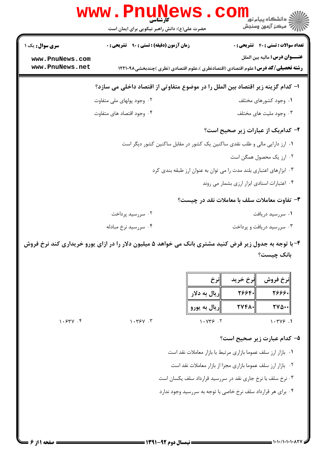| www.PnuNews                        |                                                                                                        |                                                                    |
|------------------------------------|--------------------------------------------------------------------------------------------------------|--------------------------------------------------------------------|
|                                    | حضرت علی(ع): دانش راهبر نیکویی برای ایمان است                                                          | ري دانشڪاه پيام نور<br>ا∛ مرکز آزمون وسنجش                         |
| <b>سری سوال:</b> یک ۱              | <b>زمان آزمون (دقیقه) : تستی : ۹۰٪ تشریحی : 0</b>                                                      | <b>تعداد سوالات : تستي : 40 قشريحي : 0</b>                         |
| www.PnuNews.com<br>www.PnuNews.net | <b>رشته تحصیلی/کد درس:</b> علوم اقتصادی (اقتصادنظری )،علوم اقتصادی (نظری )چندبخشی1۲۲۱۰۹۸               | <b>عنــــوان درس:</b> ماليه بين الملل                              |
|                                    | ا– كدام گزينه زير اقتصاد بين الملل را در موضوع متفاوتي از اقتصاد داخلي مي سازد؟                        |                                                                    |
|                                    | ۰۲ وجود پولهای ملی متفاوت                                                                              | ۰۱ وجود کشورهای مختلف                                              |
|                                    | ۰۴ وجود اقتصاد های متفاوت                                                                              | ۰۳ وجود مليت هاى مختلف                                             |
|                                    |                                                                                                        | ۲- کدامیک از عبارات زیر صحیح است؟                                  |
|                                    | ۰۱ ارز دارایی مالی و طلب نقدی ساکنین یک کشور در مقابل ساکنین کشور دیگر است                             |                                                                    |
|                                    |                                                                                                        | ۰۲ ارز یک محصول همگن است                                           |
|                                    |                                                                                                        | ۰۳ ابزارهای اعتباری بلند مدت را می توان به عنوان ارز طبقه بندی کرد |
|                                    |                                                                                                        | ۰۴ اعتبارات اسنادی ابزار ارزی بشمار می روند                        |
|                                    |                                                                                                        | ۳- تفاوت معاملات سلف با معاملات نقد در چیست؟                       |
|                                    | ۰۲ سررسید پرداخت                                                                                       | ۰۱ سررسید دریافت                                                   |
|                                    | ۰۴ سررسيد نرخ مبادله                                                                                   | ۰۳ سررسید دریافت و پرداخت                                          |
|                                    | ۴- با توجه به جدول زیر فرض کنید مشتری بانک می خواهد ۵ میلیون دلار را در ازای پورو خریداری کند نرخ فروش |                                                                    |

بانک چیست؟

|        |         | اانرخ           | نرخ خريد | نرخ فروش             |
|--------|---------|-----------------|----------|----------------------|
|        |         | ∥ريال به دلار   | $Y55F -$ | 7999.                |
|        |         | ریال به یورو  ' | $TVFA-$  | $TV\Delta\cdot\cdot$ |
| 1.54V. | 1.794.7 | 1.979.7         |          | $1.749$ .            |

## ۵– کدام عبارت زیر صحیح است؟

۰۱ بازار ارز سلف عموما بازاري مرتبط با بازار معاملات نقد است ۰۲ بازار ارز سلف عموما بازاری مجزا از بازار معاملات نقد است ۰۳ نرخ سلف با نرخ جاری نقد در سررسید قرارداد سلف یکسان است ۰۴ برای هر قرارداد سلف نرخ خاصی با توجه به سررسید وجود ندارد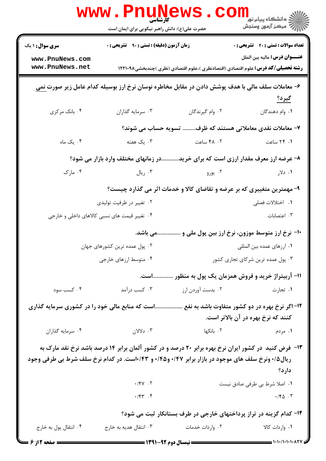|                                                                                                   | www.PnuNews<br>کآرشناسہ                                                                                 |                                                                        | ڪ دانشڪاه پيا <sub>م</sub> نور<br>۾ مرڪز آزمون وسنجش                                                                              |
|---------------------------------------------------------------------------------------------------|---------------------------------------------------------------------------------------------------------|------------------------------------------------------------------------|-----------------------------------------------------------------------------------------------------------------------------------|
|                                                                                                   | حضرت علی(ع): دانش راهبر نیکویی برای ایمان است                                                           |                                                                        |                                                                                                                                   |
| <b>سری سوال : ۱ یک</b>                                                                            | <b>زمان آزمون (دقیقه) : تستی : ۹۰ قشریحی : 0</b>                                                        |                                                                        | <b>تعداد سوالات : تستي : 40 ٪ تشريحي : 0</b>                                                                                      |
| www.PnuNews.com<br>www.PnuNews.net                                                                |                                                                                                         |                                                                        | <b>عنــــوان درس:</b> ماليه بين الملل<br><b>رشته تحصیلی/کد درس:</b> علوم اقتصادی (اقتصادنظری )،علوم اقتصادی (نظری )چندبخشی1۲۲۱۰۹۸ |
|                                                                                                   | ۶– معاملات سلف مالی با هدف پوشش دادن در مقابل مخاطره نوسان نرخ ارز بوسیله کدام عامل زیر صورت <u>نمی</u> |                                                                        |                                                                                                                                   |
|                                                                                                   |                                                                                                         |                                                                        | <u>گیرد؟</u>                                                                                                                      |
| ۰۴ بانک مرکزی                                                                                     | ۰۳ سرمايه گذاران                                                                                        | ۰۲ وام گیرندگان                                                        | ٠١. وام دهندگان                                                                                                                   |
|                                                                                                   |                                                                                                         | ٧- معاملات نقدی معاملاتی هستند که ظرف تسویه حساب می شوند؟              |                                                                                                                                   |
| ۰۴ یک ماه                                                                                         | ۰۳ یک هفته                                                                                              | ۰۲ ساعت                                                                | ۰۱ ۲۴ ساعت                                                                                                                        |
|                                                                                                   | در زمانهای مختلف وارد بازار می شود؟                                                                     |                                                                        | ۸- عرضه ارز معرف مقدار ارزی است که برای خرید.                                                                                     |
| ۰۴ مارک                                                                                           | ۰۳ ريال                                                                                                 | ۰۲ یورو                                                                | ۰۱ دلار                                                                                                                           |
|                                                                                                   |                                                                                                         | ۹- مهمترین متغییری که بر عرضه و تقاضای کالا و خدمات اثر می گذارد چیست؟ |                                                                                                                                   |
|                                                                                                   | ۰۲ تغییر در ظرفیت تولیدی                                                                                |                                                                        | ۰۱ اختلالات فصلی                                                                                                                  |
|                                                                                                   | ۰۴ تغییر قیمت های نسبی کالاهای داخلی و خارجی                                                            |                                                                        | ۰۳ اعتصابات                                                                                                                       |
|                                                                                                   | می باشد.                                                                                                |                                                                        | +1- نرخ ارز متوسط موزون، نرخ ارز بين پول ملي و                                                                                    |
|                                                                                                   | ۰۲ پول عمده ترین کشورهای جهان                                                                           |                                                                        | ۰۱ ارزهای عمده بین المللی                                                                                                         |
| ۰۴ متوسط ارزهای خارجی                                                                             |                                                                                                         | ۰۳ پول عمده ترین شرکای تجاری کشور                                      |                                                                                                                                   |
|                                                                                                   |                                                                                                         |                                                                        | 1۱- آربیتراژ خرید و فروش همزمان یک پول به منظور است.                                                                              |
| ۰۴ کسب سود                                                                                        | ۰۳ کسب درآمد                                                                                            | ۰۲ بدست آوردن ارز                                                      | ۰۱ تجارت                                                                                                                          |
| است که منابع مالی خود را در کشوری سرمایه گذاری                                                    |                                                                                                         |                                                                        | ۱۲– اگر نرخ بهره در دو کشور متفاوت باشد به نفع .                                                                                  |
|                                                                                                   |                                                                                                         |                                                                        | کنند که نرخ بهره در آن بالاتر است.                                                                                                |
| ۰۴ سرمایه گذاران                                                                                  | دلالان $\cdot$ ۲ . دلالان                                                                               | ٢. بانكها                                                              | ۰۱ مردم                                                                                                                           |
|                                                                                                   |                                                                                                         |                                                                        | ۱۳- فرض کنید در کشور ایران نرخ بهره برابر ۲۰ درصد و در کشور آلمان برابر ۱۴ درصد باشد نرخ نقد مارک به                              |
| ریال۱۵/ ونرخ سلف های موجود در بازار برابر ۰/۴۷ و۱۰/۴۵ و ۰/۴۳است. در کدام نرخ سلف شرط بی طرفی وجود |                                                                                                         |                                                                        |                                                                                                                                   |
|                                                                                                   | $\cdot$ /FV $\cdot$ T                                                                                   |                                                                        | دارد؟<br>٠١ اصلا شرط بي طرفي صادق نيست                                                                                            |
|                                                                                                   | $\cdot$ / $\uparrow \uparrow$ . $\uparrow$                                                              |                                                                        | $\cdot$ / $\uparrow$ $\uparrow$ $\uparrow$ $\uparrow$                                                                             |
|                                                                                                   |                                                                                                         |                                                                        | ۱۴- کدام گزینه در تراز پرداختهای خارجی در طرف بستانکار ثبت می شود؟                                                                |
| ۰۴ انتقال پول به خارج                                                                             | ۰۳ انتقال هدیه به خارج                                                                                  | ۰۲ واردات خدمات                                                        | ۰۱ واردات کالا                                                                                                                    |
| <b>= صفحه 2 از 6</b>                                                                              |                                                                                                         |                                                                        |                                                                                                                                   |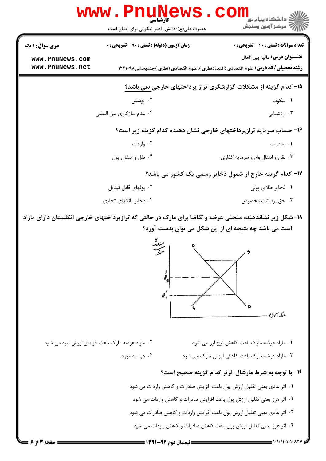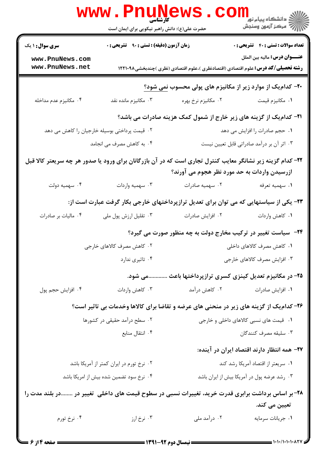|                                                                                                   | www . Pn<br><b>کارشناسی</b><br>حضرت علی(ع): دانش راهبر نیکویی برای ایمان است                               |                                                                                          | لاد دانشگاه پيام نور<br>الاه مرکز آزمون وسنجش                                         |  |
|---------------------------------------------------------------------------------------------------|------------------------------------------------------------------------------------------------------------|------------------------------------------------------------------------------------------|---------------------------------------------------------------------------------------|--|
| <b>سری سوال : ۱ یک</b>                                                                            | <b>زمان آزمون (دقیقه) : تستی : ۹۰ تشریحی : 0</b>                                                           |                                                                                          | <b>تعداد سوالات : تستی : 40 - تشریحی : .</b><br><b>عنــــوان درس:</b> ماليه بين الملل |  |
| www.PnuNews.com<br>www.PnuNews.net                                                                |                                                                                                            | <b>رشته تحصیلی/کد درس:</b> علوم اقتصادی (اقتصادنظری )،علوم اقتصادی (نظری )چندبخشی۱۲۲۱۰۹۸ |                                                                                       |  |
|                                                                                                   |                                                                                                            | -۲۰- کدام یک از موارد زیر از مکانیزم های پولی محسوب نمی شود؟                             |                                                                                       |  |
| ۰۴ مكانيزم عدم مداخله                                                                             | ۰۳ مکانیزم مانده نقد                                                                                       | ۰۲ مکانیزم نرخ بهره                                                                      | ۰۱ مکانیزم قیمت                                                                       |  |
|                                                                                                   |                                                                                                            | <b>۲۱</b> - کدامیک از گزینه های زیر خارج از شمول کمک هزینه صادرات می باشد؟               |                                                                                       |  |
| ۲. قیمت پرداختی بوسیله خارجیان را کاهش می دهد                                                     |                                                                                                            |                                                                                          | ۰۱ حجم صادرات را افزایش می دهد                                                        |  |
|                                                                                                   | ۰۴ به کاهش مصرف می انجامد                                                                                  |                                                                                          | ۰۳ اثر آن بر درآمد صادراتی قابل تعیین نیست                                            |  |
|                                                                                                   | ۲۲- کدام گزینه زیر نشانگر معایب کنترل تجاری است که در آن بازرگانان برای ورود یا صدور هر چه سریعتر کالا قبل |                                                                                          |                                                                                       |  |
|                                                                                                   |                                                                                                            | ازرسیدن واردات به حد مورد نظر هجوم می آورند؟                                             |                                                                                       |  |
| ۰۴ سهميه دولت                                                                                     | ۰۳ سهمیه واردات                                                                                            | ۰۲ سهمیه صادرات                                                                          | ۰۱ سهمیه تعرفه                                                                        |  |
|                                                                                                   |                                                                                                            | ۲۳- یکی از سیاستهایی که می توان برای تعدیل ترازپرداختهای خارجی بکار گرفت عبارت است از:   |                                                                                       |  |
| ۰۴ مالیات بر صادرات                                                                               | ۰۳ تقلیل ارزش پول ملی                                                                                      | ۰۲ افزایش صادرات                                                                         | ۰۱ كاهش واردات                                                                        |  |
|                                                                                                   |                                                                                                            | <b>۲۴</b> - سیاست تغییر در ترکیب مخارج دولت به چه منظور صورت می گیرد؟                    |                                                                                       |  |
|                                                                                                   | ۰۲ کاهش مصرف کالاهای خارجی                                                                                 |                                                                                          | ۰۱ کاهش مصرف کالاهای داخلی                                                            |  |
|                                                                                                   | ۰۴ تاثیری ندارد                                                                                            |                                                                                          | ۰۳ افزایش مصرف کالاهای خارجی                                                          |  |
|                                                                                                   |                                                                                                            | ۲۵- در مکانیزم تعدیل کینزی کسری ترازپرداختها باعث می شود.                                |                                                                                       |  |
| ۰۴ افزايش حجم پول                                                                                 | ۰۳ کاهش واردات                                                                                             | ۰۲ کاهش درآمد                                                                            | ٠١ افزايش صادرات                                                                      |  |
|                                                                                                   |                                                                                                            | ۲۶- کدام یک از گزینه های زیر در منحنی های عرضه و تقاضا برای کالاها وخدمات بی تاثیر است؟  |                                                                                       |  |
|                                                                                                   | ۰۲ سطح درآمد حقیقی در کشورها                                                                               | ۰۱ قیمت های نسبی کالاهای داخلی و خارجی                                                   |                                                                                       |  |
|                                                                                                   | ۰۴ انتقال منابع                                                                                            |                                                                                          | ۰۳ سليقه مصرف كنندگان                                                                 |  |
|                                                                                                   |                                                                                                            |                                                                                          | ۲۷– همه انتظار دارند اقتصاد ایران در آینده:                                           |  |
|                                                                                                   | ۰۲ نرخ تورم در ایران کمتر از آمریکا باشد                                                                   |                                                                                          | ۰۱ سریعتر از اقتصاد آمریکا رشد کند                                                    |  |
|                                                                                                   | ۰۴ نرخ سود تضمین شده بیش از امریکا باشد                                                                    |                                                                                          | ۰۳ رشد عرضه پول در آمریکا بیش از ایران باشد                                           |  |
| ۲۸- بر اساس برداشت برابری قدرت خرید، تغییرات نسبی در سطوح قیمت های داخلی  تغییر در در بلند مدت را |                                                                                                            |                                                                                          |                                                                                       |  |
|                                                                                                   |                                                                                                            |                                                                                          | تعیین می کند.                                                                         |  |
| ۰۴ نرخ تورم                                                                                       | ۰۳ نرخ ارز                                                                                                 | ۰۲ درآمد ملی                                                                             | ٠١ جريانات سرمايه                                                                     |  |
|                                                                                                   |                                                                                                            |                                                                                          |                                                                                       |  |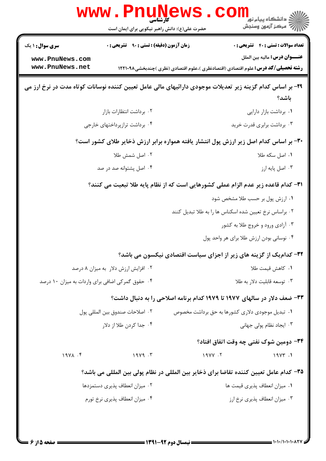| <b>تعداد سوالات : تستی : 40 قشریحی : 0</b>                                                                         |        | <b>زمان آزمون (دقیقه) : تستی : ۹۰ قشریحی : 0</b> | <b>سری سوال : ۱ یک</b>                           |
|--------------------------------------------------------------------------------------------------------------------|--------|--------------------------------------------------|--------------------------------------------------|
| <b>عنــــوان درس:</b> ماليه بين الملل                                                                              |        |                                                  | www.PnuNews.com                                  |
| <b>رشته تحصیلی/کد درس:</b> علوم اقتصادی (اقتصادنظری )،علوم اقتصادی (نظری )چندبخشی1۲۲۱۰۹۸                           |        |                                                  | www.PnuNews.net                                  |
| ۲۹- بر اساس کدام گزینه زیر تعدیلات موجودی دارائیهای مالی عامل تعیین کننده نوسانات کوتاه مدت در نرخ ارز می<br>باشد؟ |        |                                                  |                                                  |
| ٠١. برداشت بازار دارايي                                                                                            |        | ٠٢ برداشت انتظارات بازار                         |                                                  |
| ۰۳ برداشت برابری قدرت خرید                                                                                         |        | ۰۴ برداشت ترازپرداختهای خارجی                    |                                                  |
| ۳۰- بر اساس کدام اصل زیر ارزش پول انتشار یافته همواره برابر ارزش ذخایر طلای کشور است؟                              |        |                                                  |                                                  |
| ۰۱ اصل سکه طلا                                                                                                     |        | ۰۲ اصل شمش طلا                                   |                                                  |
| ۰۳ اصل پایه ارز                                                                                                    |        | ۰۴ اصل پشتوانه صد در صد                          |                                                  |
| ۳۱– کدام قاعده زیر عدم الزام عملی کشورهایی است که از نظام پایه طلا تبعیت می کنند؟                                  |        |                                                  |                                                  |
| ۰۱ ارزش پول بر حسب طلا مشخص شود                                                                                    |        |                                                  |                                                  |
| ۰۲ براساس نرخ تعیین شده اسکناس ها را به طلا تبدیل کنند                                                             |        |                                                  |                                                  |
| ۰۳ آزادی ورود و خروج طلا به کشور                                                                                   |        |                                                  |                                                  |
| ۰۴ نوسانی بودن ارزش طلا برای هر واحد پول                                                                           |        |                                                  |                                                  |
| ۳۲- کدامیک از گزینه های زیر از اجزای سیاست اقتصادی نیکسون می باشد؟                                                 |        |                                                  |                                                  |
| ٠١ كاهش قيمت طلا                                                                                                   |        | ۰۲ افزایش ارزش دلار به میزان ۸ درصد              |                                                  |
| ۰۳ توسعه قابلیت دلار به طلا                                                                                        |        |                                                  | ۰۴ حقوق گمرکی اضافی برای واردات به میزان ۱۰ درصد |
| ۳۳- ضعف دلار در سالهای ۱۹۷۷ تا ۱۹۷۹ کدام برنامه اصلاحی را به دنبال داشت؟                                           |        |                                                  |                                                  |
| ۰۱ تبدیل موجودی دلاری کشورها به حق برداشت مخصوص                                                                    |        | ٢. اصلاحات صندوق بين المللي يول                  |                                                  |
| ۰۳ ایجاد نظام پولی جهانی                                                                                           |        | ۰۴ جدا کردن طلا از دلار                          |                                                  |
| ۳۴− دومین شوک نفتی چه وقت اتفاق افتاد؟                                                                             |        |                                                  |                                                  |
| 19YY.1                                                                                                             | 19YY.7 | 19Y9.7                                           | $19YA$ .                                         |
| ۳۵– کدام عامل تعیین کننده تقاضا برای ذخایر بین المللی در نظام پولی بین المللی می باشد؟                             |        |                                                  |                                                  |
| ۰۱ میزان انعطاف پذیری قیمت ها                                                                                      |        | ٠٢ ميزان انعطاف پذيرى دستمزدها                   |                                                  |
| ۰۳ میزان انعطاف پذیری نرخ ارز                                                                                      |        | ۰۴ میزان انعطاف پذیری نرخ تورم                   |                                                  |